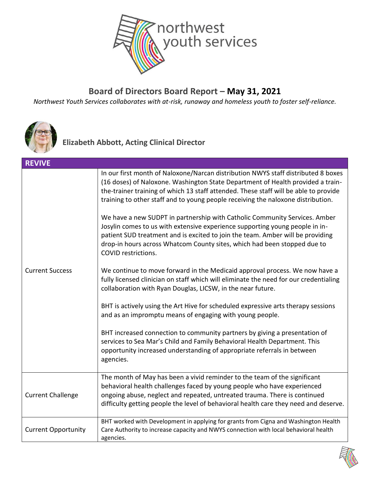

#### **Board of Directors Board Report – May 31, 2021**

*Northwest Youth Services collaborates with at-risk, runaway and homeless youth to foster self-reliance.*



**Elizabeth Abbott, Acting Clinical Director**

| <b>REVIVE</b>              |                                                                                                                                                                                                                                                                                                                                                                                                                                                                                                                                                                                                                                                                                                                                                                                                                                                                                                                                                                                                                                                                                                                                                                                                                                                                                                                                                       |  |
|----------------------------|-------------------------------------------------------------------------------------------------------------------------------------------------------------------------------------------------------------------------------------------------------------------------------------------------------------------------------------------------------------------------------------------------------------------------------------------------------------------------------------------------------------------------------------------------------------------------------------------------------------------------------------------------------------------------------------------------------------------------------------------------------------------------------------------------------------------------------------------------------------------------------------------------------------------------------------------------------------------------------------------------------------------------------------------------------------------------------------------------------------------------------------------------------------------------------------------------------------------------------------------------------------------------------------------------------------------------------------------------------|--|
| <b>Current Success</b>     | In our first month of Naloxone/Narcan distribution NWYS staff distributed 8 boxes<br>(16 doses) of Naloxone. Washington State Department of Health provided a train-<br>the-trainer training of which 13 staff attended. These staff will be able to provide<br>training to other staff and to young people receiving the naloxone distribution.<br>We have a new SUDPT in partnership with Catholic Community Services. Amber<br>Josylin comes to us with extensive experience supporting young people in in-<br>patient SUD treatment and is excited to join the team. Amber will be providing<br>drop-in hours across Whatcom County sites, which had been stopped due to<br><b>COVID restrictions.</b><br>We continue to move forward in the Medicaid approval process. We now have a<br>fully licensed clinician on staff which will eliminate the need for our credentialing<br>collaboration with Ryan Douglas, LICSW, in the near future.<br>BHT is actively using the Art Hive for scheduled expressive arts therapy sessions<br>and as an impromptu means of engaging with young people.<br>BHT increased connection to community partners by giving a presentation of<br>services to Sea Mar's Child and Family Behavioral Health Department. This<br>opportunity increased understanding of appropriate referrals in between<br>agencies. |  |
|                            | The month of May has been a vivid reminder to the team of the significant                                                                                                                                                                                                                                                                                                                                                                                                                                                                                                                                                                                                                                                                                                                                                                                                                                                                                                                                                                                                                                                                                                                                                                                                                                                                             |  |
| <b>Current Challenge</b>   | behavioral health challenges faced by young people who have experienced<br>ongoing abuse, neglect and repeated, untreated trauma. There is continued<br>difficulty getting people the level of behavioral health care they need and deserve.                                                                                                                                                                                                                                                                                                                                                                                                                                                                                                                                                                                                                                                                                                                                                                                                                                                                                                                                                                                                                                                                                                          |  |
| <b>Current Opportunity</b> | BHT worked with Development in applying for grants from Cigna and Washington Health<br>Care Authority to increase capacity and NWYS connection with local behavioral health<br>agencies.                                                                                                                                                                                                                                                                                                                                                                                                                                                                                                                                                                                                                                                                                                                                                                                                                                                                                                                                                                                                                                                                                                                                                              |  |

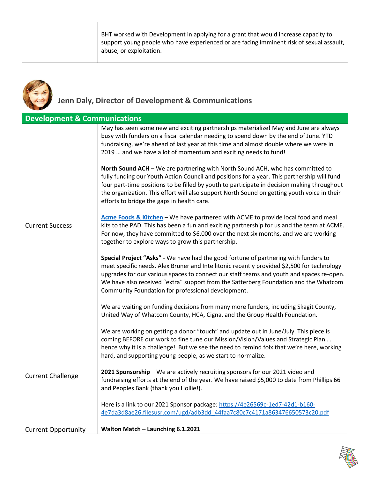BHT worked with Development in applying for a grant that would increase capacity to support young people who have experienced or are facing imminent risk of sexual assault, abuse, or exploitation.



#### **Jenn Daly, Director of Development & Communications**

| <b>Development &amp; Communications</b> |                                                                                                                                                                                                                                                                                                                                                                                                                             |
|-----------------------------------------|-----------------------------------------------------------------------------------------------------------------------------------------------------------------------------------------------------------------------------------------------------------------------------------------------------------------------------------------------------------------------------------------------------------------------------|
| <b>Current Success</b>                  | May has seen some new and exciting partnerships materialize! May and June are always<br>busy with funders on a fiscal calendar needing to spend down by the end of June. YTD<br>fundraising, we're ahead of last year at this time and almost double where we were in<br>2019  and we have a lot of momentum and exciting needs to fund!                                                                                    |
|                                         | North Sound ACH - We are partnering with North Sound ACH, who has committed to<br>fully funding our Youth Action Council and positions for a year. This partnership will fund<br>four part-time positions to be filled by youth to participate in decision making throughout<br>the organization. This effort will also support North Sound on getting youth voice in their<br>efforts to bridge the gaps in health care.   |
|                                         | Acme Foods & Kitchen - We have partnered with ACME to provide local food and meal<br>kits to the PAD. This has been a fun and exciting partnership for us and the team at ACME.<br>For now, they have committed to \$6,000 over the next six months, and we are working<br>together to explore ways to grow this partnership.                                                                                               |
|                                         | Special Project "Asks" - We have had the good fortune of partnering with funders to<br>meet specific needs. Alex Bruner and Intellitonic recently provided \$2,500 for technology<br>upgrades for our various spaces to connect our staff teams and youth and spaces re-open.<br>We have also received "extra" support from the Satterberg Foundation and the Whatcom<br>Community Foundation for professional development. |
|                                         | We are waiting on funding decisions from many more funders, including Skagit County,<br>United Way of Whatcom County, HCA, Cigna, and the Group Health Foundation.                                                                                                                                                                                                                                                          |
| <b>Current Challenge</b>                | We are working on getting a donor "touch" and update out in June/July. This piece is<br>coming BEFORE our work to fine tune our Mission/Vision/Values and Strategic Plan<br>hence why it is a challenge! But we see the need to remind folx that we're here, working<br>hard, and supporting young people, as we start to normalize.                                                                                        |
|                                         | 2021 Sponsorship - We are actively recruiting sponsors for our 2021 video and<br>fundraising efforts at the end of the year. We have raised \$5,000 to date from Phillips 66<br>and Peoples Bank (thank you Hollie!).                                                                                                                                                                                                       |
|                                         | Here is a link to our 2021 Sponsor package: https://4e26569c-1ed7-42d1-b160-<br>4e7da3d8ae26.filesusr.com/ugd/adb3dd 44faa7c80c7c4171a863476650573c20.pdf                                                                                                                                                                                                                                                                   |
| <b>Current Opportunity</b>              | Walton Match - Launching 6.1.2021                                                                                                                                                                                                                                                                                                                                                                                           |

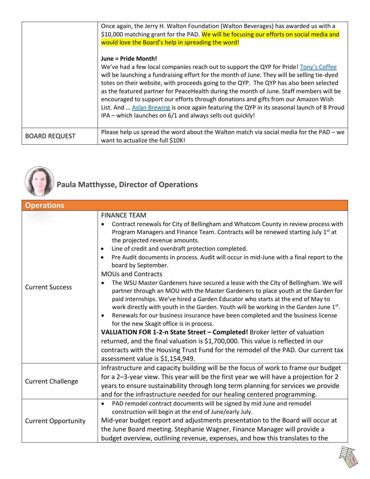|                      | Once again, the Jerry H. Walton Foundation (Walton Beverages) has awarded us with a<br>\$10,000 matching grant for the PAD. We will be focusing our efforts on social media and                                                                                                                                                                                                                                                                                                                                                                                                                                                                   |
|----------------------|---------------------------------------------------------------------------------------------------------------------------------------------------------------------------------------------------------------------------------------------------------------------------------------------------------------------------------------------------------------------------------------------------------------------------------------------------------------------------------------------------------------------------------------------------------------------------------------------------------------------------------------------------|
|                      | would love the Board's help in spreading the word!                                                                                                                                                                                                                                                                                                                                                                                                                                                                                                                                                                                                |
|                      | June = Pride Month!<br>We've had a few local companies reach out to support the QYP for Pride! Tony's Coffee<br>will be launching a fundraising effort for the month of June. They will be selling tie-dyed<br>totes on their website, with proceeds going to the QYP. The QYP has also been selected<br>as the featured partner for PeaceHealth during the month of June. Staff members will be<br>encouraged to support our efforts through donations and gifts from our Amazon Wish<br>List. And  Aslan Brewing is once again featuring the QYP in its seasonal launch of B Proud<br>IPA – which launches on 6/1 and always sells out quickly! |
| <b>BOARD REQUEST</b> | Please help us spread the word about the Walton match via social media for the PAD – we<br>want to actualize the full \$10K!                                                                                                                                                                                                                                                                                                                                                                                                                                                                                                                      |



## **Paula Matthysse, Director of Operations**

| <b>Operations</b>          |                                                                                                                                                                                                                                                                                                                                                                                                                                                                                                                                                                                                                                                                                                                                                                                                                                                                                                                                                                                                                                                                                                                                                                                                                                                                                        |
|----------------------------|----------------------------------------------------------------------------------------------------------------------------------------------------------------------------------------------------------------------------------------------------------------------------------------------------------------------------------------------------------------------------------------------------------------------------------------------------------------------------------------------------------------------------------------------------------------------------------------------------------------------------------------------------------------------------------------------------------------------------------------------------------------------------------------------------------------------------------------------------------------------------------------------------------------------------------------------------------------------------------------------------------------------------------------------------------------------------------------------------------------------------------------------------------------------------------------------------------------------------------------------------------------------------------------|
| <b>Current Success</b>     | <b>FINANCE TEAM</b><br>Contract renewals for City of Bellingham and Whatcom County in review process with<br>$\bullet$<br>Program Managers and Finance Team. Contracts will be renewed starting July 1st at<br>the projected revenue amounts.<br>Line of credit and overdraft protection completed.<br>$\bullet$<br>Pre Audit documents in process. Audit will occur in mid-June with a final report to the<br>$\bullet$<br>board by September.<br><b>MOUs and Contracts</b><br>The WSU Master Gardeners have secured a lease with the City of Bellingham. We will<br>$\bullet$<br>partner through an MOU with the Master Gardeners to place youth at the Garden for<br>paid internships. We've hired a Garden Educator who starts at the end of May to<br>work directly with youth in the Garden. Youth will be working in the Garden June 1st.<br>Renewals for our business insurance have been completed and the business license<br>$\bullet$<br>for the new Skagit office is in process.<br>VALUATION FOR 1-2-n State Street - Completed! Broker letter of valuation<br>returned, and the final valuation is \$1,700,000. This value is reflected in our<br>contracts with the Housing Trust Fund for the remodel of the PAD. Our current tax<br>assessment value is \$1,154,949. |
| <b>Current Challenge</b>   | Infrastructure and capacity building will be the focus of work to frame our budget<br>for a 2-3-year view. This year will be the first year we will have a projection for 2<br>years to ensure sustainability through long term planning for services we provide<br>and for the infrastructure needed for our healing centered programming.                                                                                                                                                                                                                                                                                                                                                                                                                                                                                                                                                                                                                                                                                                                                                                                                                                                                                                                                            |
| <b>Current Opportunity</b> | PAD remodel contract documents will be signed by mid June and remodel<br>$\bullet$<br>construction will begin at the end of June/early July.<br>Mid-year budget report and adjustments presentation to the Board will occur at<br>the June Board meeting. Stephanie Wagner, Finance Manager will provide a<br>budget overview, outlining revenue, expenses, and how this translates to the                                                                                                                                                                                                                                                                                                                                                                                                                                                                                                                                                                                                                                                                                                                                                                                                                                                                                             |

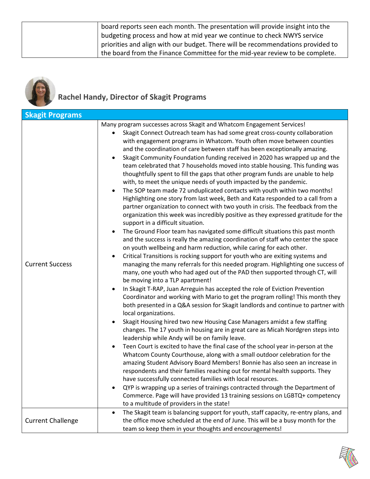| board reports seen each month. The presentation will provide insight into the   |
|---------------------------------------------------------------------------------|
| budgeting process and how at mid year we continue to check NWYS service         |
| priorities and align with our budget. There will be recommendations provided to |
| the board from the Finance Committee for the mid-year review to be complete.    |



### **Rachel Handy, Director of Skagit Programs**

| <b>Skagit Programs</b>   |                                                                                                                                                                                                                                                                                                                                                                                                                                                                                                                                                                                                                                                                                                                                                                                                                                                                                                                                                                                                                                                                                                                                                                                                                                                                                                                                                                                                                                                                                                                                                                                                                                                                                                                                                                                                                                                                                                                                                                                                                                                                                                                                                                                                                                                                                                                                                                                                                                                                                                                                                                                                                                                                                                                                                      |
|--------------------------|------------------------------------------------------------------------------------------------------------------------------------------------------------------------------------------------------------------------------------------------------------------------------------------------------------------------------------------------------------------------------------------------------------------------------------------------------------------------------------------------------------------------------------------------------------------------------------------------------------------------------------------------------------------------------------------------------------------------------------------------------------------------------------------------------------------------------------------------------------------------------------------------------------------------------------------------------------------------------------------------------------------------------------------------------------------------------------------------------------------------------------------------------------------------------------------------------------------------------------------------------------------------------------------------------------------------------------------------------------------------------------------------------------------------------------------------------------------------------------------------------------------------------------------------------------------------------------------------------------------------------------------------------------------------------------------------------------------------------------------------------------------------------------------------------------------------------------------------------------------------------------------------------------------------------------------------------------------------------------------------------------------------------------------------------------------------------------------------------------------------------------------------------------------------------------------------------------------------------------------------------------------------------------------------------------------------------------------------------------------------------------------------------------------------------------------------------------------------------------------------------------------------------------------------------------------------------------------------------------------------------------------------------------------------------------------------------------------------------------------------------|
| <b>Current Success</b>   | Many program successes across Skagit and Whatcom Engagement Services!<br>Skagit Connect Outreach team has had some great cross-county collaboration<br>with engagement programs in Whatcom. Youth often move between counties<br>and the coordination of care between staff has been exceptionally amazing.<br>Skagit Community Foundation funding received in 2020 has wrapped up and the<br>team celebrated that 7 households moved into stable housing. This funding was<br>thoughtfully spent to fill the gaps that other program funds are unable to help<br>with, to meet the unique needs of youth impacted by the pandemic.<br>The SOP team made 72 unduplicated contacts with youth within two months!<br>Highlighting one story from last week, Beth and Kata responded to a call from a<br>partner organization to connect with two youth in crisis. The feedback from the<br>organization this week was incredibly positive as they expressed gratitude for the<br>support in a difficult situation.<br>The Ground Floor team has navigated some difficult situations this past month<br>and the success is really the amazing coordination of staff who center the space<br>on youth wellbeing and harm reduction, while caring for each other.<br>Critical Transitions is rocking support for youth who are exiting systems and<br>managing the many referrals for this needed program. Highlighting one success of<br>many, one youth who had aged out of the PAD then supported through CT, will<br>be moving into a TLP apartment!<br>In Skagit T-RAP, Juan Arreguin has accepted the role of Eviction Prevention<br>Coordinator and working with Mario to get the program rolling! This month they<br>both presented in a Q&A session for Skagit landlords and continue to partner with<br>local organizations.<br>Skagit Housing hired two new Housing Case Managers amidst a few staffing<br>changes. The 17 youth in housing are in great care as Micah Nordgren steps into<br>leadership while Andy will be on family leave.<br>Teen Court is excited to have the final case of the school year in-person at the<br>Whatcom County Courthouse, along with a small outdoor celebration for the<br>amazing Student Advisory Board Members! Bonnie has also seen an increase in<br>respondents and their families reaching out for mental health supports. They<br>have successfully connected families with local resources.<br>QYP is wrapping up a series of trainings contracted through the Department of<br>Commerce. Page will have provided 13 training sessions on LGBTQ+ competency<br>to a multitude of providers in the state!<br>The Skagit team is balancing support for youth, staff capacity, re-entry plans, and |
| <b>Current Challenge</b> | the office move scheduled at the end of June. This will be a busy month for the<br>team so keep them in your thoughts and encouragements!                                                                                                                                                                                                                                                                                                                                                                                                                                                                                                                                                                                                                                                                                                                                                                                                                                                                                                                                                                                                                                                                                                                                                                                                                                                                                                                                                                                                                                                                                                                                                                                                                                                                                                                                                                                                                                                                                                                                                                                                                                                                                                                                                                                                                                                                                                                                                                                                                                                                                                                                                                                                            |

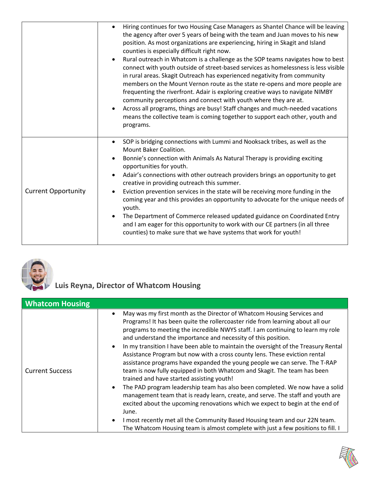|                            | Hiring continues for two Housing Case Managers as Shantel Chance will be leaving<br>the agency after over 5 years of being with the team and Juan moves to his new<br>position. As most organizations are experiencing, hiring in Skagit and Island<br>counties is especially difficult right now.<br>Rural outreach in Whatcom is a challenge as the SOP teams navigates how to best<br>connect with youth outside of street-based services as homelessness is less visible<br>in rural areas. Skagit Outreach has experienced negativity from community<br>members on the Mount Vernon route as the state re-opens and more people are<br>frequenting the riverfront. Adair is exploring creative ways to navigate NIMBY<br>community perceptions and connect with youth where they are at.<br>Across all programs, things are busy! Staff changes and much-needed vacations<br>means the collective team is coming together to support each other, youth and<br>programs. |
|----------------------------|------------------------------------------------------------------------------------------------------------------------------------------------------------------------------------------------------------------------------------------------------------------------------------------------------------------------------------------------------------------------------------------------------------------------------------------------------------------------------------------------------------------------------------------------------------------------------------------------------------------------------------------------------------------------------------------------------------------------------------------------------------------------------------------------------------------------------------------------------------------------------------------------------------------------------------------------------------------------------|
| <b>Current Opportunity</b> | SOP is bridging connections with Lummi and Nooksack tribes, as well as the<br>$\bullet$<br><b>Mount Baker Coalition.</b><br>Bonnie's connection with Animals As Natural Therapy is providing exciting<br>opportunities for youth.<br>Adair's connections with other outreach providers brings an opportunity to get<br>creative in providing outreach this summer.<br>Eviction prevention services in the state will be receiving more funding in the<br>coming year and this provides an opportunity to advocate for the unique needs of<br>youth.<br>The Department of Commerce released updated guidance on Coordinated Entry<br>and I am eager for this opportunity to work with our CE partners (in all three<br>counties) to make sure that we have systems that work for youth!                                                                                                                                                                                       |



**Luis Reyna, Director of Whatcom Housing** 

| <b>Whatcom Housing</b> |                                                                                                                                                                                                                                                                                                                                                                                                                                                                                                                                                                                                                                                                                                                                                                                                                                                                                                                                                                                                                                                                                                                        |
|------------------------|------------------------------------------------------------------------------------------------------------------------------------------------------------------------------------------------------------------------------------------------------------------------------------------------------------------------------------------------------------------------------------------------------------------------------------------------------------------------------------------------------------------------------------------------------------------------------------------------------------------------------------------------------------------------------------------------------------------------------------------------------------------------------------------------------------------------------------------------------------------------------------------------------------------------------------------------------------------------------------------------------------------------------------------------------------------------------------------------------------------------|
| <b>Current Success</b> | May was my first month as the Director of Whatcom Housing Services and<br>Programs! It has been quite the rollercoaster ride from learning about all our<br>programs to meeting the incredible NWYS staff. I am continuing to learn my role<br>and understand the importance and necessity of this position.<br>In my transition I have been able to maintain the oversight of the Treasury Rental<br>Assistance Program but now with a cross county lens. These eviction rental<br>assistance programs have expanded the young people we can serve. The T-RAP<br>team is now fully equipped in both Whatcom and Skagit. The team has been<br>trained and have started assisting youth!<br>The PAD program leadership team has also been completed. We now have a solid<br>management team that is ready learn, create, and serve. The staff and youth are<br>excited about the upcoming renovations which we expect to begin at the end of<br>June.<br>I most recently met all the Community Based Housing team and our 22N team.<br>The Whatcom Housing team is almost complete with just a few positions to fill. I |

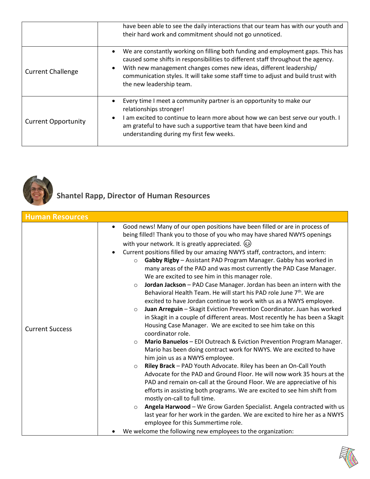|                            | have been able to see the daily interactions that our team has with our youth and<br>their hard work and commitment should not go unnoticed.                                                                                                                                                                                                               |
|----------------------------|------------------------------------------------------------------------------------------------------------------------------------------------------------------------------------------------------------------------------------------------------------------------------------------------------------------------------------------------------------|
| <b>Current Challenge</b>   | We are constantly working on filling both funding and employment gaps. This has<br>caused some shifts in responsibilities to different staff throughout the agency.<br>With new management changes comes new ideas, different leadership/<br>communication styles. It will take some staff time to adjust and build trust with<br>the new leadership team. |
| <b>Current Opportunity</b> | Every time I meet a community partner is an opportunity to make our<br>relationships stronger!<br>I am excited to continue to learn more about how we can best serve our youth. I<br>am grateful to have such a supportive team that have been kind and<br>understanding during my first few weeks.                                                        |



# **Shantel Rapp, Director of Human Resources**

| <b>Human Resources</b> |                                                                                                                                                                                                                                                                                                                                                                                                                                                                                                                                                                                                                                                                                                                                                                                                                                                                                                                                                                                                                                                                                                                                                                                                                                                                                                                                                                                                                                                                                                                                                                                                                                                                                                                                                                                                                                      |
|------------------------|--------------------------------------------------------------------------------------------------------------------------------------------------------------------------------------------------------------------------------------------------------------------------------------------------------------------------------------------------------------------------------------------------------------------------------------------------------------------------------------------------------------------------------------------------------------------------------------------------------------------------------------------------------------------------------------------------------------------------------------------------------------------------------------------------------------------------------------------------------------------------------------------------------------------------------------------------------------------------------------------------------------------------------------------------------------------------------------------------------------------------------------------------------------------------------------------------------------------------------------------------------------------------------------------------------------------------------------------------------------------------------------------------------------------------------------------------------------------------------------------------------------------------------------------------------------------------------------------------------------------------------------------------------------------------------------------------------------------------------------------------------------------------------------------------------------------------------------|
| <b>Current Success</b> | Good news! Many of our open positions have been filled or are in process of<br>being filled! Thank you to those of you who may have shared NWYS openings<br>with your network. It is greatly appreciated. (3)<br>Current positions filled by our amazing NWYS staff, contractors, and intern:<br>Gabby Rigby - Assistant PAD Program Manager. Gabby has worked in<br>$\circ$<br>many areas of the PAD and was most currently the PAD Case Manager.<br>We are excited to see him in this manager role.<br>Jordan Jackson - PAD Case Manager. Jordan has been an intern with the<br>$\circ$<br>Behavioral Health Team. He will start his PAD role June 7 <sup>th</sup> . We are<br>excited to have Jordan continue to work with us as a NWYS employee.<br>Juan Arreguin - Skagit Eviction Prevention Coordinator. Juan has worked<br>$\circ$<br>in Skagit in a couple of different areas. Most recently he has been a Skagit<br>Housing Case Manager. We are excited to see him take on this<br>coordinator role.<br>Mario Banuelos - EDI Outreach & Eviction Prevention Program Manager.<br>$\circ$<br>Mario has been doing contract work for NWYS. We are excited to have<br>him join us as a NWYS employee.<br>Riley Brack - PAD Youth Advocate. Riley has been an On-Call Youth<br>$\circ$<br>Advocate for the PAD and Ground Floor. He will now work 35 hours at the<br>PAD and remain on-call at the Ground Floor. We are appreciative of his<br>efforts in assisting both programs. We are excited to see him shift from<br>mostly on-call to full time.<br>Angela Harwood - We Grow Garden Specialist. Angela contracted with us<br>$\circ$<br>last year for her work in the garden. We are excited to hire her as a NWYS<br>employee for this Summertime role.<br>We welcome the following new employees to the organization: |

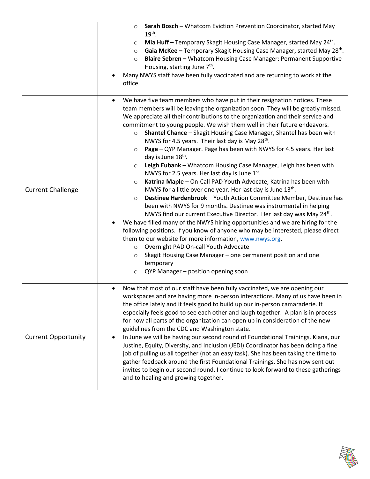|                            | Sarah Bosch - Whatcom Eviction Prevention Coordinator, started May<br>$\circ$<br>$19th$ .<br>Mia Huff - Temporary Skagit Housing Case Manager, started May 24 <sup>th</sup> .<br>$\circ$<br>Gaia McKee - Temporary Skagit Housing Case Manager, started May 28 <sup>th</sup> .<br>$\circ$<br>Blaire Sebren - Whatcom Housing Case Manager: Permanent Supportive<br>$\circ$<br>Housing, starting June 7 <sup>th</sup> .<br>Many NWYS staff have been fully vaccinated and are returning to work at the<br>office.                                                                                                                                                                                                                                                                                                                                                                                                                                                                                                                                                                                                                                                                                                                                                                                                                                                                                                                                                                                                                                                        |
|----------------------------|-------------------------------------------------------------------------------------------------------------------------------------------------------------------------------------------------------------------------------------------------------------------------------------------------------------------------------------------------------------------------------------------------------------------------------------------------------------------------------------------------------------------------------------------------------------------------------------------------------------------------------------------------------------------------------------------------------------------------------------------------------------------------------------------------------------------------------------------------------------------------------------------------------------------------------------------------------------------------------------------------------------------------------------------------------------------------------------------------------------------------------------------------------------------------------------------------------------------------------------------------------------------------------------------------------------------------------------------------------------------------------------------------------------------------------------------------------------------------------------------------------------------------------------------------------------------------|
| <b>Current Challenge</b>   | We have five team members who have put in their resignation notices. These<br>team members will be leaving the organization soon. They will be greatly missed.<br>We appreciate all their contributions to the organization and their service and<br>commitment to young people. We wish them well in their future endeavors.<br>Shantel Chance - Skagit Housing Case Manager, Shantel has been with<br>$\circ$<br>NWYS for 4.5 years. Their last day is May 28 <sup>th</sup> .<br>Page - QYP Manager. Page has been with NWYS for 4.5 years. Her last<br>$\circ$<br>day is June 18 <sup>th</sup> .<br>Leigh Eubank - Whatcom Housing Case Manager, Leigh has been with<br>$\circ$<br>NWYS for 2.5 years. Her last day is June 1st.<br>Katrina Maple - On-Call PAD Youth Advocate, Katrina has been with<br>$\circ$<br>NWYS for a little over one year. Her last day is June 13 <sup>th</sup> .<br>Destinee Hardenbrook - Youth Action Committee Member, Destinee has<br>$\circ$<br>been with NWYS for 9 months. Destinee was instrumental in helping<br>NWYS find our current Executive Director. Her last day was May 24 <sup>th</sup> .<br>We have filled many of the NWYS hiring opportunities and we are hiring for the<br>following positions. If you know of anyone who may be interested, please direct<br>them to our website for more information, www.nwys.org.<br>Overnight PAD On-call Youth Advocate<br>$\circ$<br>Skagit Housing Case Manager - one permanent position and one<br>$\circ$<br>temporary<br>QYP Manager - position opening soon<br>$\circ$ |
| <b>Current Opportunity</b> | Now that most of our staff have been fully vaccinated, we are opening our<br>$\bullet$<br>workspaces and are having more in-person interactions. Many of us have been in<br>the office lately and it feels good to build up our in-person camaraderie. It<br>especially feels good to see each other and laugh together. A plan is in process<br>for how all parts of the organization can open up in consideration of the new<br>guidelines from the CDC and Washington state.<br>In June we will be having our second round of Foundational Trainings. Kiana, our<br>Justine, Equity, Diversity, and Inclusion (JEDI) Coordinator has been doing a fine<br>job of pulling us all together (not an easy task). She has been taking the time to<br>gather feedback around the first Foundational Trainings. She has now sent out<br>invites to begin our second round. I continue to look forward to these gatherings<br>and to healing and growing together.                                                                                                                                                                                                                                                                                                                                                                                                                                                                                                                                                                                                           |